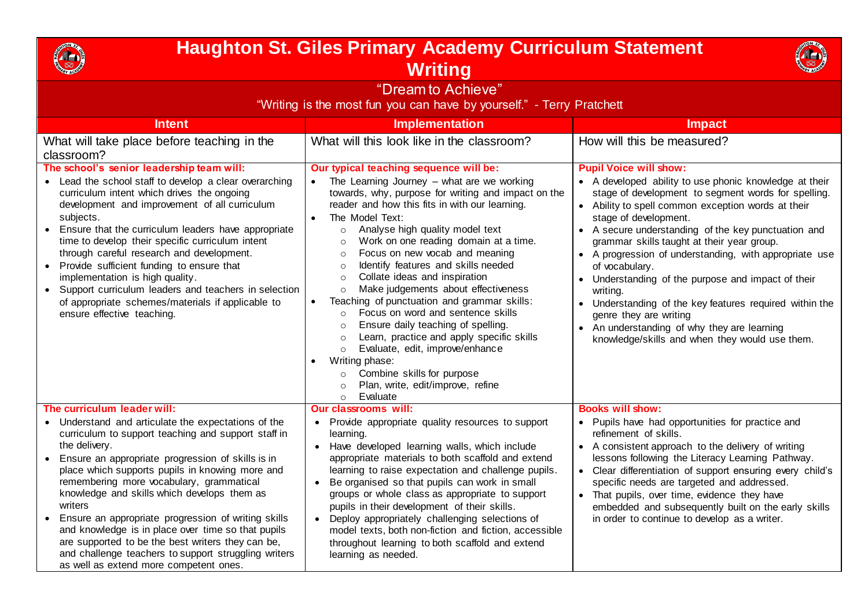

## **Haughton St. Giles Primary Academy Curriculum Statement Writing**



| "Dream to Achieve"<br>"Writing is the most fun you can have by yourself." - Terry Pratchett                                                                                                                                                                                                                                                                                                                                                                                                                                                                                                                                             |                                                                                                                                                                                                                                                                                                                                                                                                                                                                                                                                                                                                                                                                                                                                                                                                                                                                                                             |                                                                                                                                                                                                                                                                                                                                                                                                                                                                                                                                                                                                                                                                    |
|-----------------------------------------------------------------------------------------------------------------------------------------------------------------------------------------------------------------------------------------------------------------------------------------------------------------------------------------------------------------------------------------------------------------------------------------------------------------------------------------------------------------------------------------------------------------------------------------------------------------------------------------|-------------------------------------------------------------------------------------------------------------------------------------------------------------------------------------------------------------------------------------------------------------------------------------------------------------------------------------------------------------------------------------------------------------------------------------------------------------------------------------------------------------------------------------------------------------------------------------------------------------------------------------------------------------------------------------------------------------------------------------------------------------------------------------------------------------------------------------------------------------------------------------------------------------|--------------------------------------------------------------------------------------------------------------------------------------------------------------------------------------------------------------------------------------------------------------------------------------------------------------------------------------------------------------------------------------------------------------------------------------------------------------------------------------------------------------------------------------------------------------------------------------------------------------------------------------------------------------------|
| <b>Intent</b>                                                                                                                                                                                                                                                                                                                                                                                                                                                                                                                                                                                                                           | <b>Implementation</b>                                                                                                                                                                                                                                                                                                                                                                                                                                                                                                                                                                                                                                                                                                                                                                                                                                                                                       | <b>Impact</b>                                                                                                                                                                                                                                                                                                                                                                                                                                                                                                                                                                                                                                                      |
| What will take place before teaching in the<br>classroom?                                                                                                                                                                                                                                                                                                                                                                                                                                                                                                                                                                               | What will this look like in the classroom?                                                                                                                                                                                                                                                                                                                                                                                                                                                                                                                                                                                                                                                                                                                                                                                                                                                                  | How will this be measured?                                                                                                                                                                                                                                                                                                                                                                                                                                                                                                                                                                                                                                         |
| The school's senior leadership team will:<br>• Lead the school staff to develop a clear overarching<br>curriculum intent which drives the ongoing<br>development and improvement of all curriculum<br>subjects.<br>Ensure that the curriculum leaders have appropriate<br>time to develop their specific curriculum intent<br>through careful research and development.<br>• Provide sufficient funding to ensure that<br>implementation is high quality.<br>• Support curriculum leaders and teachers in selection<br>of appropriate schemes/materials if applicable to<br>ensure effective teaching.                                  | Our typical teaching sequence will be:<br>The Learning Journey $-$ what are we working<br>towards, why, purpose for writing and impact on the<br>reader and how this fits in with our learning.<br>The Model Text:<br>Analyse high quality model text<br>$\circ$<br>Work on one reading domain at a time.<br>$\circ$<br>Focus on new vocab and meaning<br>$\circ$<br>Identify features and skills needed<br>$\circ$<br>Collate ideas and inspiration<br>$\circ$<br>Make judgements about effectiveness<br>$\circ$<br>Teaching of punctuation and grammar skills:<br>Focus on word and sentence skills<br>$\circ$<br>Ensure daily teaching of spelling.<br>$\circ$<br>Learn, practice and apply specific skills<br>$\Omega$<br>Evaluate, edit, improve/enhance<br>$\circ$<br>Writing phase:<br>Combine skills for purpose<br>$\circ$<br>Plan, write, edit/improve, refine<br>$\Omega$<br>Evaluate<br>$\circ$ | <b>Pupil Voice will show:</b><br>• A developed ability to use phonic knowledge at their<br>stage of development to segment words for spelling.<br>• Ability to spell common exception words at their<br>stage of development.<br>A secure understanding of the key punctuation and<br>grammar skills taught at their year group.<br>• A progression of understanding, with appropriate use<br>of vocabulary.<br>• Understanding of the purpose and impact of their<br>writing.<br>Understanding of the key features required within the<br>genre they are writing<br>• An understanding of why they are learning<br>knowledge/skills and when they would use them. |
| The curriculum leader will:                                                                                                                                                                                                                                                                                                                                                                                                                                                                                                                                                                                                             | <b>Our classrooms will:</b>                                                                                                                                                                                                                                                                                                                                                                                                                                                                                                                                                                                                                                                                                                                                                                                                                                                                                 | <b>Books will show:</b>                                                                                                                                                                                                                                                                                                                                                                                                                                                                                                                                                                                                                                            |
| • Understand and articulate the expectations of the<br>curriculum to support teaching and support staff in<br>the delivery.<br>Ensure an appropriate progression of skills is in<br>$\bullet$<br>place which supports pupils in knowing more and<br>remembering more vocabulary, grammatical<br>knowledge and skills which develops them as<br>writers<br>Ensure an appropriate progression of writing skills<br>$\bullet$<br>and knowledge is in place over time so that pupils<br>are supported to be the best writers they can be,<br>and challenge teachers to support struggling writers<br>as well as extend more competent ones. | Provide appropriate quality resources to support<br>$\bullet$<br>learning.<br>Have developed learning walls, which include<br>appropriate materials to both scaffold and extend<br>learning to raise expectation and challenge pupils.<br>Be organised so that pupils can work in small<br>groups or whole class as appropriate to support<br>pupils in their development of their skills.<br>Deploy appropriately challenging selections of<br>model texts, both non-fiction and fiction, accessible<br>throughout learning to both scaffold and extend<br>learning as needed.                                                                                                                                                                                                                                                                                                                             | • Pupils have had opportunities for practice and<br>refinement of skills.<br>• A consistent approach to the delivery of writing<br>lessons following the Literacy Learning Pathway.<br>• Clear differentiation of support ensuring every child's<br>specific needs are targeted and addressed.<br>• That pupils, over time, evidence they have<br>embedded and subsequently built on the early skills<br>in order to continue to develop as a writer.                                                                                                                                                                                                              |